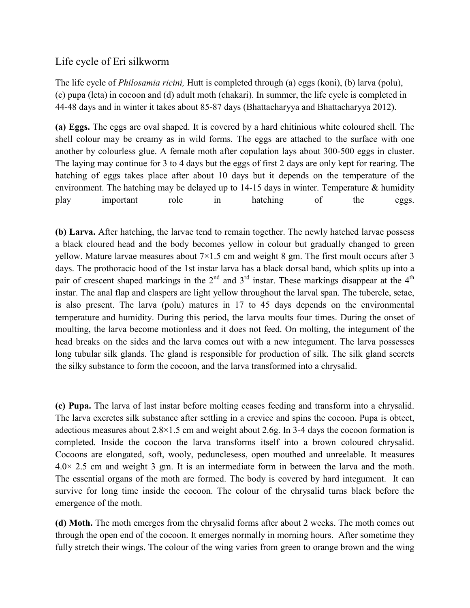## Life cycle of Eri silkworm

The life cycle of *Philosamia ricini,* Hutt is completed through (a) eggs (koni), (b) larva (polu), (c) pupa (leta) in cocoon and (d) adult moth (chakari). In summer, the life cycle is completed in 44-48 days and in winter it takes about 85-87 days (Bhattacharyya and Bhattacharyya 2012).

**(a) Eggs.** The eggs are oval shaped. It is covered by a hard chitinious white coloured shell. The shell colour may be creamy as in wild forms. The eggs are attached to the surface with one another by colourless glue. A female moth after copulation lays about 300-500 eggs in cluster. The laying may continue for 3 to 4 days but the eggs of first 2 days are only kept for rearing. The hatching of eggs takes place after about 10 days but it depends on the temperature of the environment. The hatching may be delayed up to  $14-15$  days in winter. Temperature & humidity play important role in hatching of the eggs.

**(b) Larva.** After hatching, the larvae tend to remain together. The newly hatched larvae possess a black cloured head and the body becomes yellow in colour but gradually changed to green yellow. Mature larvae measures about  $7\times1.5$  cm and weight 8 gm. The first moult occurs after 3 days. The prothoracic hood of the 1st instar larva has a black dorsal band, which splits up into a pair of crescent shaped markings in the  $2<sup>nd</sup>$  and  $3<sup>rd</sup>$  instar. These markings disappear at the  $4<sup>th</sup>$ instar. The anal flap and claspers are light yellow throughout the larval span. The tubercle, setae, is also present. The larva (polu) matures in 17 to 45 days depends on the environmental temperature and humidity. During this period, the larva moults four times. During the onset of moulting, the larva become motionless and it does not feed. On molting, the integument of the head breaks on the sides and the larva comes out with a new integument. The larva possesses long tubular silk glands. The gland is responsible for production of silk. The silk gland secrets the silky substance to form the cocoon, and the larva transformed into a chrysalid.

**(c) Pupa.** The larva of last instar before molting ceases feeding and transform into a chrysalid. The larva excretes silk substance after settling in a crevice and spins the cocoon. Pupa is obtect, adectious measures about  $2.8 \times 1.5$  cm and weight about 2.6g. In 3-4 days the cocoon formation is completed. Inside the cocoon the larva transforms itself into a brown coloured chrysalid. Cocoons are elongated, soft, wooly, pedunclesess, open mouthed and unreelable. It measures 4.0× 2.5 cm and weight 3 gm. It is an intermediate form in between the larva and the moth. The essential organs of the moth are formed. The body is covered by hard integument. It can survive for long time inside the cocoon. The colour of the chrysalid turns black before the emergence of the moth.

**(d) Moth.** The moth emerges from the chrysalid forms after about 2 weeks. The moth comes out through the open end of the cocoon. It emerges normally in morning hours. After sometime they fully stretch their wings. The colour of the wing varies from green to orange brown and the wing